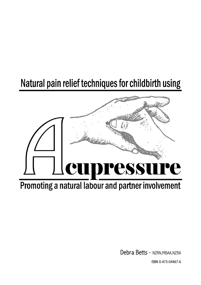# Natural pain relief techniques for childbirth using



# Promoting a natural labour and partner involvement

Debra Betts - NZRN, MBAA, NZRA

ISBN 0-473-04467-6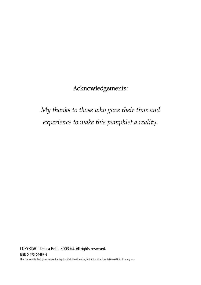# Acknowledgements:

# *My thanks to those who gave their time and experience to make this pamphlet a reality.*

# COPYRIGHT Debra Betts 2003 ©. All rights reserved. **ISBN 0-473-04467-6**<br>The license attached gives people the right to distribute it entire, but not to alter it or take credit for it in any way.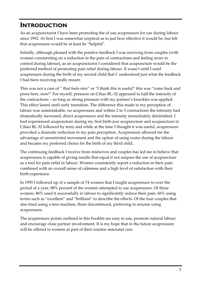# **INTRODUCTION**

As an acupuncturist I have been promoting the of use acupressure for use during labour since 1992. At first I was somewhat sceptical as to just how effective it would be, but felt that acupressure would be at least be "helpful".

Initially, although pleased with the positive feedback I was receiving from couples (with women commenting on a reduction in the pain of contractions and feeling more in control during labour), as an acupuncturist I considered that acupuncture would be the preferred method of promoting pain relief during labour. It wasn't until I used acupressure during the birth of my second child that I understood just what the feedback I had been receiving really meant.

This was not a case of " that feels nice" or "I think this is useful" this was "come back and press here, now!" For myself, pressure on Ciliao BL-32 appeared to half the intensity of the contractions – so long as strong pressure with my partner's knuckles was applied. This effect lasted until early transition. The difference this made to my perception of labour was unmistakable, no acupressure and within 2 to 3 contractions the intensity had dramatically increased, direct acupressure and the intensity immediately diminished. I had experienced acupuncture during my first birth (ear acupuncture and acupuncture to Ciliao BL-32 followed by tens) and while at the time I thought it was useful, acupressure provided a dramatic reduction in my pain perception. Acupressure allowed me the advantage of unrestricted movement and the option of using water during the labour and became my preferred choice for the birth of my third child.

The continuing feedback I receive from midwives and couples has led me to believe that acupressure is capable of giving results that equal if not surpass the use of acupuncture as a tool for pain relief in labour. Women consistently report a reduction in their pain combined with an overall sense of calmness and a high level of satisfaction with their birth experience.

In 1995 I followed up of a sample of 74 women that I taught acupressure to over the period of a year, 88% percent of the women attempted to use acupressure. Of these women, 86% used it successfully in labour to significantly reduce their pain. 66% using terms such as "excellent" and "brilliant" to describe the effects. Of the four couples that also tried using a tens machine, three discontinued, preferring to resume using acupressure.

The acupressure points outlined in this booklet are easy to use, promote natural labour and encourage close partner involvement. It is my hope that in the future acupressure will be offered to women as part of their routine antenatal care.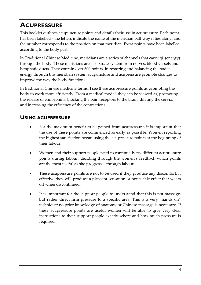# **ACUPRESSURE**

This booklet outlines acupuncture points and details their use in acupressure. Each point has been labelled - the letters indicate the name of the meridian pathway it lies along, and the number corresponds to the position on that meridian. Extra points have been labelled according to the body part.

In Traditional Chinese Medicine, meridians are a series of channels that carry qi (energy) through the body. These meridians are a separate system from nerves, blood vessels and lymphatic ducts. They contain over 600 points. In restoring and balancing the bodies energy through this meridian system acupuncture and acupressure promote changes to improve the way the body functions.

In traditional Chinese medicine terms, I see these acupressure points as prompting the body to work more efficiently. From a medical model, they can be viewed as, promoting the release of endorphins, blocking the pain receptors to the brain, dilating the cervix, and increasing the efficiency of the contractions.

## **USING ACUPRESSURE**

- For the maximum benefit to be gained from acupressure, it is important that the use of these points are commenced as early as possible. Women reporting the highest satisfaction began using the acupressure points at the beginning of their labour.
- Women and their support people need to continually try different acupressure points during labour, deciding through the women's feedback which points are the most useful as she progresses through labour.
- These acupressure points are not to be used if they produce any discomfort, if effective they will produce a pleasant sensation or noticeable effect that wears off when discontinued.
- It is important for the support people to understand that this is not massage, but rather direct firm pressure to a specific area. This is a very "hands on" technique; no prior knowledge of anatomy or Chinese massage is necessary. If these acupressure points are useful women will be able to give very clear instructions to their support people exactly where and how much pressure is required.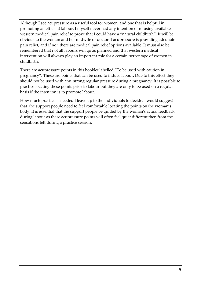Although I see acupressure as a useful tool for women, and one that is helpful in promoting an efficient labour, I myself never had any intention of refusing available western medical pain relief to prove that I could have a "natural childbirth". It will be obvious to the woman and her midwife or doctor if acupressure is providing adequate pain relief, and if not, there are medical pain relief options available. It must also be remembered that not all labours will go as planned and that western medical intervention will always play an important role for a certain percentage of women in childbirth.

There are acupressure points in this booklet labelled "To be used with caution in pregnancy". These are points that can be used to induce labour. Due to this effect they should not be used with any strong regular pressure during a pregnancy. It is possible to practice locating these points prior to labour but they are only to be used on a regular basis if the intention is to promote labour.

How much practice is needed I leave up to the individuals to decide. I would suggest that the support people need to feel comfortable locating the points on the woman's body. It is essential that the support people be guided by the woman's actual feedback during labour as these acupressure points will often feel quiet different then from the sensations felt during a practice session.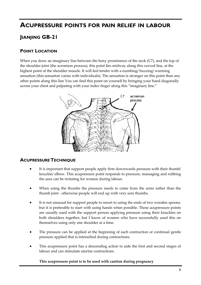# **ACUPRESSURE POINTS FOR PAIN RELIEF IN LABOUR JIANJING GB-21**

### **POINT LOCATION**

When you draw an imaginary line between the bony prominence of the neck (C7), and the top of the shoulder joint (the acromion process), this point lies midway along this curved line, at the highest point of the shoulder muscle. It will feel tender with a numbing/ buzzing/ warming sensation (this sensation varies with individuals). The sensation is stronger on this point than any other points along this line You can find this point on yourself by bringing your hand diagonally across your chest and palpating with your index finger along this "imaginary line."



### **ACUPRESSURE TECHNIQUE**

- It is important that support people apply firm downwards pressure with their thumb/ knuckle/ elbow. This acupressure point responds to pressure, massaging and rubbing the area can be irritating for women during labour.
- When using the thumbs the pressure needs to come from the arms rather than the thumb joint - otherwise people will end up with very sore thumbs.
- It is not unusual for support people to resort to using the ends of two wooden spoons, but it is preferable to start with using hands when possible. These acupressure points are usually used with the support person applying pressure using their knuckles on both shoulders together, but I know of women who have successfully used this on themselves using only one shoulder at a time.
- The pressure can be applied at the beginning of each contraction or continual gentle pressure applied that is intensified during contractions.
- This acupressure point has a descending action to aide the first and second stages of labour and can stimulate uterine contractions.

**This acupressure point is to be used with caution during pregnancy**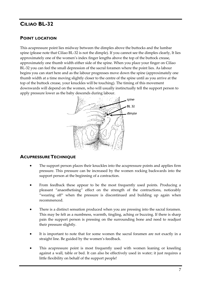# **CILIAO BL-32**

#### **POINT LOCATION**

This acupressure point lies midway between the dimples above the buttocks and the lumbar spine (please note that Ciliao BL-32 is not the dimple). If you cannot see the dimples clearly, It lies approximately one of the women's index finger lengths above the top of the buttock crease, approximately one thumb width either side of the spine. When you place your finger on Ciliao BL-32 you can feel the small depression of the sacral foramen where the point lies. As labour begins you can start here and as the labour progresses move down the spine (approximately one thumb width at a time moving slightly closer to the centre of the spine until as you arrive at the top of the buttock crease, your knuckles will be touching). The timing of this movement downwards will depend on the women, who will usually instinctually tell the support person to apply pressure lower as the baby descends during labour.



#### **ACUPRESSURE TECHNIQUE**

- The support person places their knuckles into the acupressure points and applies firm pressure. This pressure can be increased by the women rocking backwards into the support person at the beginning of a contraction.
- From feedback these appear to be the most frequently used points. Producing a pleasant "anaesthetising" effect on the strength of the contractions, noticeably "wearing off" when the pressure is discontinued and building up again when recommenced.
- There is a distinct sensation produced when you are pressing into the sacral foramen. This may be felt as a numbness, warmth, tingling, aching or buzzing. If there is sharp pain the support person is pressing on the surrounding bone and need to readjust their pressure slightly.
- It is important to note that for some women the sacral foramen are not exactly in a straight line. Be guided by the women's feedback.
- This acupressure point is most frequently used with women leaning or kneeling against a wall, table or bed. It can also be effectively used in water; it just requires a little flexibility on behalf of the support people!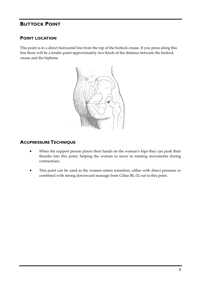## **BUTTOCK POINT**

#### **POINT LOCATION**

This point is in a direct horizontal line from the top of the buttock crease. If you press along this line there will be a tender point approximately two thirds of the distance between the buttock crease and the hipbone.



#### **ACUPRESSURE TECHNIQUE**

- When the support person places their hands on the woman's hips they can push their thumbs into this point, helping the woman to move in rotating movements during contractions.
- This point can be used as the women enters transition, either with direct pressure or combined with strong downward massage from Ciliao BL-32 out to this point.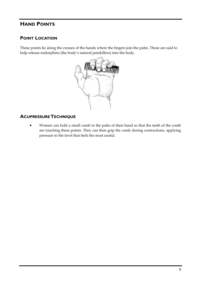# **HAND POINTS**

### **POINT LOCATION**

These points lie along the creases of the hands where the fingers join the palm. These are said to help release endorphins (the body's natural painkillers) into the body.



### **ACUPRESSURE TECHNIQUE**

• Women can hold a small comb in the palm of their hand so that the teeth of the comb are touching these points. They can then grip the comb during contractions, applying pressure to the level that feels the most useful.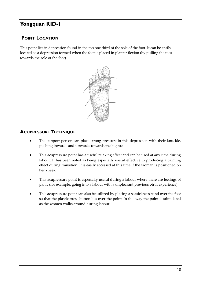# **Yongquan KID-1**

### **POINT LOCATION**

This point lies in depression found in the top one third of the sole of the foot. It can be easily located as a depression formed when the foot is placed in planter flexion (by pulling the toes towards the sole of the foot).



#### **ACUPRESSURE TECHNIQUE**

- The support person can place strong pressure in this depression with their knuckle, pushing inwards and upwards towards the big toe.
- This acupressure point has a useful relaxing effect and can be used at any time during labour. It has been noted as being especially useful effective in producing a calming effect during transition. It is easily accessed at this time if the woman is positioned on her knees.
- This acupressure point is especially useful during a labour where there are feelings of panic (for example, going into a labour with a unpleasant previous birth experience).
- This acupressure point can also be utilized by placing a seasickness band over the foot so that the plastic press button lies over the point. In this way the point is stimulated as the women walks around during labour.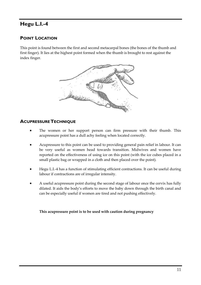# **Hegu L.I.-4**

### **POINT LOCATION**

This point is found between the first and second metacarpal bones (the bones of the thumb and first finger). It lies at the highest point formed when the thumb is brought to rest against the index finger.



### **ACUPRESSURE TECHNIQUE**

- The women or her support person can firm pressure with their thumb. This acupressure point has a dull achy feeling when located correctly.
- Acupressure to this point can be used to providing general pain relief in labour. It can be very useful as women head towards transition. Midwives and women have reported on the effectiveness of using ice on this point (with the ice cubes placed in a small plastic bag or wrapped in a cloth and then placed over the point).
- Hegu L.I.-4 has a function of stimulating efficient contractions. It can be useful during labour if contractions are of irregular intensity.
- A useful acupressure point during the second stage of labour once the cervix has fully dilated. It aids the body's efforts to move the baby down through the birth canal and can be especially useful if women are tired and not pushing effectively.

**This acupressure point is to be used with caution during pregnancy**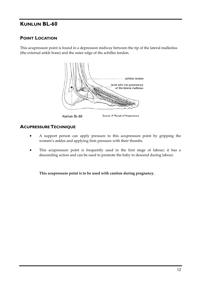# **KUNLUN BL-60**

### **POINT LOCATION**

This acupressure point is found in a depression midway between the tip of the lateral malleolus (the external ankle bone) and the outer edge of the achilles tendon.



### **ACUPRESSURE TECHNIQUE**

- A support person can apply pressure to this acupressure point by gripping the women's ankles and applying firm pressure with their thumbs.
- This acupressure point is frequently used in the first stage of labour; it has a descending action and can be used to promote the baby to descend during labour.

**This acupressure point is to be used with caution during pregnancy.**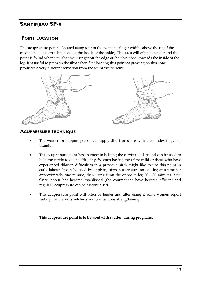# **SANYINJIAO SP-6**

### **POINT LOCATION**

This acupressure point is located using four of the woman's finger widths above the tip of the medial malleous (the shin bone on the inside of the ankle). This area will often be tender and the point is found when you slide your finger off the edge of the tibia bone, towards the inside of the leg. It is useful to press on the tibia when first locating this point as pressing on this bone produces a very different sensation from the acupressure point.



#### **ACUPRESSURE TECHNIQUE**

- The women or support person can apply direct pressure with their index finger or thumb.
- This acupressure point has an effect in helping the cervix to dilate and can be used to help the cervix to dilate efficiently. Women having their first child or those who have experienced dilation difficulties in a previous birth might like to use this point in early labour. It can be used by applying firm acupressure on one leg at a time for approximately one minute, then using it on the opposite leg 20 - 30 minutes later. Once labour has become established (the contractions have become efficient and regular), acupressure can be discontinued.
- This acupressure point will often be tender and after using it some women report feeling their cervix stretching and contractions strengthening.

**This acupressure point is to be used with caution during pregnancy.**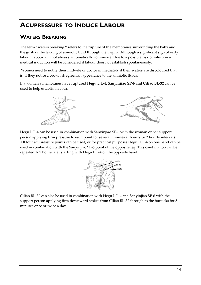# **ACUPRESSURE TO INDUCE LABOUR**

# **WATERS BREAKING**

The term "waters breaking " refers to the rupture of the membranes surrounding the baby and the gush or the leaking of amniotic fluid through the vagina. Although a significant sign of early labour, labour will not always automatically commence. Due to a possible risk of infection a medical induction will be considered if labour does not establish spontaneously.

 Women need to notify their midwife or doctor immediately if their waters are discoloured that is, if they notice a brownish /greenish appearance to the amniotic fluids.

If a woman's membranes have ruptured **Hegu L.I.-4, Sanyinjiao SP-6 and Ciliao BL-32** can be used to help establish labour.



Hegu L.I.-4 can be used in combination with Sanyinjiao SP-6 with the woman or her support person applying firm pressure to each point for several minutes at hourly or 2 hourly intervals. All four acupressure points can be used, or for practical purposes Hegu LI.-4 on one hand can be used in combination with the Sanyinjiao SP-6 point of the opposite leg. This combination can be repeated 1- 2 hours later starting with Hegu L.I.-4 on the opposite hand.



Ciliao BL-32 can also be used in combination with Hegu L.I.-4 and Sanyinjiao SP-6 with the support person applying firm downward stokes from Ciliao BL-32 through to the buttocks for 5 minutes once or twice a day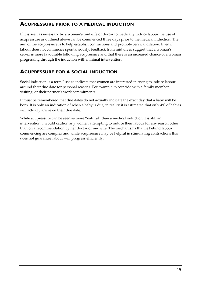### **ACUPRESSURE PRIOR TO A MEDICAL INDUCTION**

If it is seen as necessary by a woman's midwife or doctor to medically induce labour the use of acupressure as outlined above can be commenced three days prior to the medical induction. The aim of the acupressure is to help establish contractions and promote cervical dilation. Even if labour does not commence spontaneously, feedback from midwives suggest that a woman's cervix is more favourable following acupressure and that there is an increased chance of a woman progressing through the induction with minimal intervention.

### **ACUPRESSURE FOR A SOCIAL INDUCTION**

Social induction is a term I use to indicate that women are interested in trying to induce labour around their due date for personal reasons. For example to coincide with a family member visiting or their partner's work commitments.

It must be remembered that due dates do not actually indicate the exact day that a baby will be born. It is only an indication of when a baby is due, in reality it is estimated that only 4% of babies will actually arrive on their due date.

While acupressure can be seen as more "natural" than a medical induction it is still an intervention. I would caution any women attempting to induce their labour for any reason other than on a recommendation by her doctor or midwife. The mechanisms that lie behind labour commencing are complex and while acupressure may be helpful in stimulating contractions this does not guarantee labour will progress efficiently.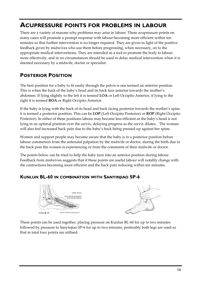# **ACUPRESSURE POINTS FOR PROBLEMS IN LABOUR**

There are a variety of reasons why problems may arise in labour. These acupressure points on many cases will promote a prompt response with labour becoming more efficient within ten minutes so that further intervention is no longer required. They are given in light of the positive feedback given by midwives who use them before progressing, when necessary, on to the appropriate medical interventions. They are intended as a tool to promote the body to labour more effectively, and in no circumstances should be used to delay medical intervention when it is deemed necessary by a midwife, doctor or specialist.

# **POSTERIOR POSITION**

The best position for a baby to fit easily through the pelvis is one termed an anterior position. This is when the back of the baby's head and its back face anterior towards the mother's abdomen. If lying slightly to the left it is termed **LOA** or Left Occipito Anterior, if lying to the right it is termed **ROA** or Right Occipito Anterior.

If the baby is lying with the back of its head and back facing posterior towards the mother's spine it is termed a posterior position. This can be **LOP** (Left Occipito Posterior) or **ROP** (Right Occipito Posterior). In either of these positions labour may become less efficient as the baby's head is not lying in an optimal position over the cervix, delaying progress as the cervix dilates. The woman will also feel increased back pain due to the baby's back being pressed up against her spine.

Women and support people may become aware that the baby is in a posterior position before labour commences from the antenatal palpation by the midwife or doctor, during the birth due to the back pain the women is experiencing or from the comments of their midwife or doctor.

The points below can be tried to help the baby turn into an anterior position during labour. Feedback from midwives suggests that if these points are useful labour will notably change with the contractions becoming more efficient and the back pain reducing within ten minutes.

### **KUNLUN BL-60 IN COMBINATION WITH SANYINJIAO SP-6**



These points can be used together, placing pressure on Kunlun BL-60 for up to two minutes followed by pressure to Sanyinjiao SP-6 for up to two minutes, preferably both legs are used so that in total four points are utilised.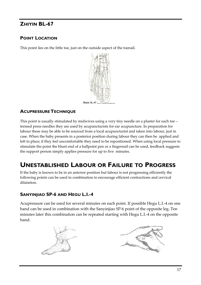# **ZHIYIN BL-67**

### **POINT LOCATION**

This point lies on the little toe, just on the outside aspect of the toenail.



### **ACUPRESSURE TECHNIQUE**

This point is usually stimulated by midwives using a very tiny needle on a plaster for each toe – termed press needles they are used by acupuncturists for ear acupuncture. In preparation for labour these may be able to be sourced from a local acupuncturist and taken into labour, just in case. When the baby presents in a posterior position during labour they can then be applied and left in place; if they feel uncomfortable they need to be repositioned. When using local pressure to stimulate the point the blunt end of a ballpoint pen or a fingernail can be used, feedback suggests the support person simply applies pressure for up to five minutes.

# **UNESTABLISHED LABOUR OR FAILURE TO PROGRESS**

If the baby is known to be in an anterior position but labour is not progressing efficiently the following points can be used in combination to encourage efficient contractions and cervical dilatation.

# **SANYINJIAO SP-6 AND HEGU L.I.-4**

Acupressure can be used for several minutes on each point. If possible Hegu L.I.-4 on one hand can be used in combination with the Sanyinjiao SP-6 point of the opposite leg. Ten minutes later this combination can be repeated starting with Hegu L.I.-4 on the opposite hand.



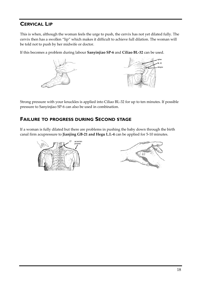# **CERVICAL LIP**

This is when, although the woman feels the urge to push, the cervix has not yet dilated fully. The cervix then has a swollen "lip" which makes it difficult to achieve full dilation. The woman will be told not to push by her midwife or doctor.

If this becomes a problem during labour **Sanyinjiao SP-6** and **Ciliao BL-32** can be used.



Strong pressure with your knuckles is applied into Ciliao BL-32 for up to ten minutes. If possible pressure to Sanyinjiao SP-6 can also be used in combination.

### **FAILURE TO PROGRESS DURING SECOND STAGE**

If a woman is fully dilated but there are problems in pushing the baby down through the birth canal firm acupressure to **Jianjing GB-21 and Hegu L.I.-4** can be applied for 5-10 minutes.



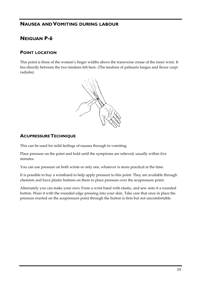### **NAUSEA AND VOMITING DURING LABOUR**

# **NEIGUAN P-6**

#### **POINT LOCATION**

This point is three of the women's finger widths above the transverse crease of the inner wrist. It lies directly between the two tendons felt here. (The tendons of palmaris longus and flexor carpi radialis).



### **ACUPRESSURE TECHNIQUE**

This can be used for mild feelings of nausea through to vomiting.

Place pressure on the point and hold until the symptoms are relieved, usually within five minutes.

You can use pressure on both wrists or only one, whatever is more practical at the time.

It is possible to buy a wristband to help apply pressure to this point. They are available through chemists and have plastic buttons on them to place pressure over the acupressure point.

Alternately you can make your own. Form a wrist band with elastic, and sew onto it a rounded button. Wear it with the rounded edge pressing into your skin. Take care that once in place the pressure exerted on the acupressure point through the button is firm but not uncomfortable.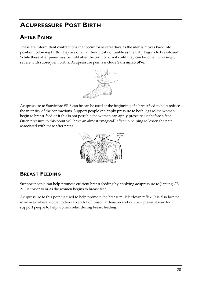# **ACUPRESSURE POST BIRTH**

# **AFTER PAINS**

These are intermittent contractions that occur for several days as the uterus moves back into position following birth. They are often at their most noticeable as the baby begins to breast-feed. While these after pains may be mild after the birth of a first child they can become increasingly severe with subsequent births. Acupressure points include **Sanyinjiao SP-6**.



Acupressure to Sanyinjiao SP-6 can be can be used at the beginning of a breastfeed to help reduce the intensity of the contractions. Support people can apply pressure to both legs as the women begin to breast-feed or if this is not possible the women can apply pressure just before a feed. Often pressure to this point will have an almost "magical" effect in helping to lessen the pain associated with these after pains.



# **BREAST FEEDING**

Support people can help promote efficient breast feeding by applying acupressure to Jianjing GB-21 just prior to or as the women begins to breast feed.

Acupressure to this point is used to help promote the breast milk letdown reflex. It is also located in an area where women often carry a lot of muscular tension and can be a pleasant way for support people to help women relax during breast feeding.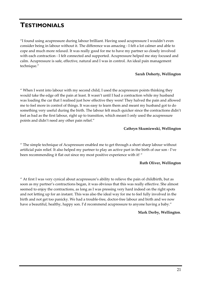# **TESTIMONIALS**

"I found using acupressure during labour brilliant. Having used acupressure I wouldn't even consider being in labour without it. The difference was amazing - I felt a lot calmer and able to cope and much more relaxed. It was really good for me to have my partner so closely involved with each contraction - I felt connected and supported. Acupressure helped me stay focused and calm. Acupressure is safe, effective, natural and I was in control. An ideal pain management technique."

#### **Sarah Doherty, Wellington**

" When I went into labour with my second child, I used the acupressure points thinking they would take the edge off the pain at least. It wasn't until I had a contraction while my husband was loading the car that I realised just how effective they were! They halved the pain and allowed me to feel more in control of things. It was easy to learn them and meant my husband got to do something very useful during the birth. The labour felt much quicker since the contractions didn't feel as bad as the first labour, right up to transition, which meant I only used the acupressure points and didn't need any other pain relief."

#### **Cathryn Skumiewski, Wellington**

" The simple technique of Acupressure enabled me to get through a short sharp labour without artificial pain relief. It also helped my partner to play an active part in the birth of our son - I've been recommending it flat out since my most positive experience with it! "

#### **Ruth Oliver, Wellington**

" At first I was very cynical about acupressure's ability to relieve the pain of childbirth, but as soon as my partner's contractions began, it was obvious that this was really effective. She almost seemed to enjoy the contractions, as long as I was pressing very hard indeed on the right spots and not letting up for an instant. This was also the ideal way for me to feel fully involved in the birth and not get too panicky. We had a trouble-free, doctor-free labour and birth and we now have a beautiful, healthy, happy son. I'd recommend acupressure to anyone having a baby."

#### **Mark Derby, Wellington**.